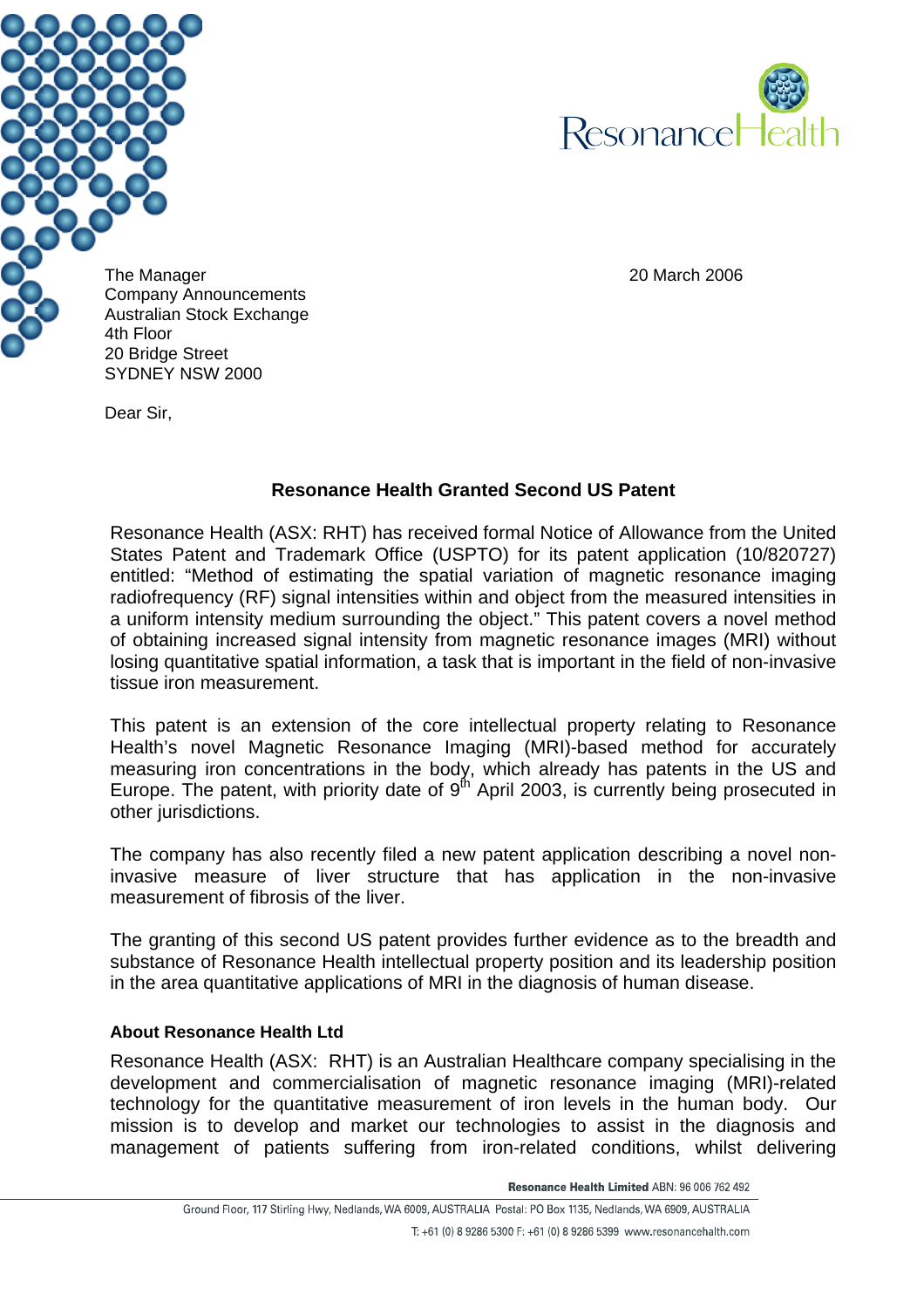



The Manager 20 March 2006 Company Announcements Australian Stock Exchange 20 Bridge Street SYDNEY NSW 2000

Dear Sir,

## **Resonance Health Granted Second US Patent**

Resonance Health (ASX: RHT) has received formal Notice of Allowance from the United States Patent and Trademark Office (USPTO) for its patent application (10/820727) entitled: "Method of estimating the spatial variation of magnetic resonance imaging radiofrequency (RF) signal intensities within and object from the measured intensities in a uniform intensity medium surrounding the object." This patent covers a novel method of obtaining increased signal intensity from magnetic resonance images (MRI) without losing quantitative spatial information, a task that is important in the field of non-invasive tissue iron measurement.

This patent is an extension of the core intellectual property relating to Resonance Health's novel Magnetic Resonance Imaging (MRI)-based method for accurately measuring iron concentrations in the body, which already has patents in the US and Europe. The patent, with priority date of  $9<sup>th</sup>$  April 2003, is currently being prosecuted in other jurisdictions.

The company has also recently filed a new patent application describing a novel noninvasive measure of liver structure that has application in the non-invasive measurement of fibrosis of the liver.

The granting of this second US patent provides further evidence as to the breadth and substance of Resonance Health intellectual property position and its leadership position in the area quantitative applications of MRI in the diagnosis of human disease.

## **About Resonance Health Ltd**

Resonance Health (ASX: RHT) is an Australian Healthcare company specialising in the development and commercialisation of magnetic resonance imaging (MRI)-related technology for the quantitative measurement of iron levels in the human body. Our mission is to develop and market our technologies to assist in the diagnosis and management of patients suffering from iron-related conditions, whilst delivering

Resonance Health Limited ABN: 96 006 762 492